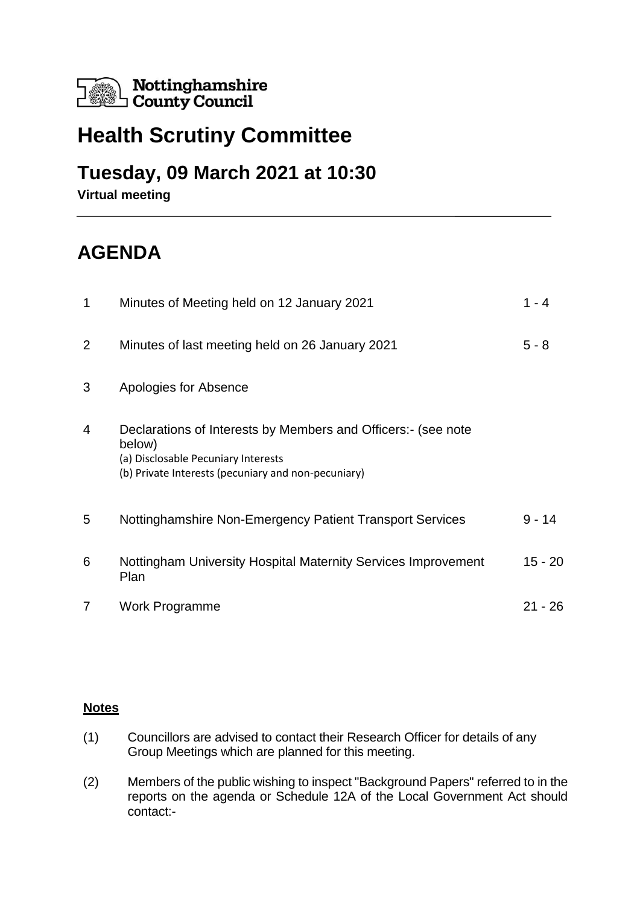

# **Health Scrutiny Committee**

### **Tuesday, 09 March 2021 at 10:30**

**Virtual meeting**

# **AGENDA**

| 1 | Minutes of Meeting held on 12 January 2021                                                                                                                            | $1 - 4$ |
|---|-----------------------------------------------------------------------------------------------------------------------------------------------------------------------|---------|
| 2 | Minutes of last meeting held on 26 January 2021                                                                                                                       | $5 - 8$ |
| 3 | Apologies for Absence                                                                                                                                                 |         |
| 4 | Declarations of Interests by Members and Officers:- (see note<br>below)<br>(a) Disclosable Pecuniary Interests<br>(b) Private Interests (pecuniary and non-pecuniary) |         |
| 5 | Nottinghamshire Non-Emergency Patient Transport Services                                                                                                              | 9 - 14  |
| 6 | Nottingham University Hospital Maternity Services Improvement<br>Plan                                                                                                 | 15 - 20 |
| 7 | <b>Work Programme</b>                                                                                                                                                 | 21 - 26 |

#### **Notes**

- (1) Councillors are advised to contact their Research Officer for details of any Group Meetings which are planned for this meeting.
- (2) Members of the public wishing to inspect "Background Papers" referred to in the reports on the agenda or Schedule 12A of the Local Government Act should contact:-